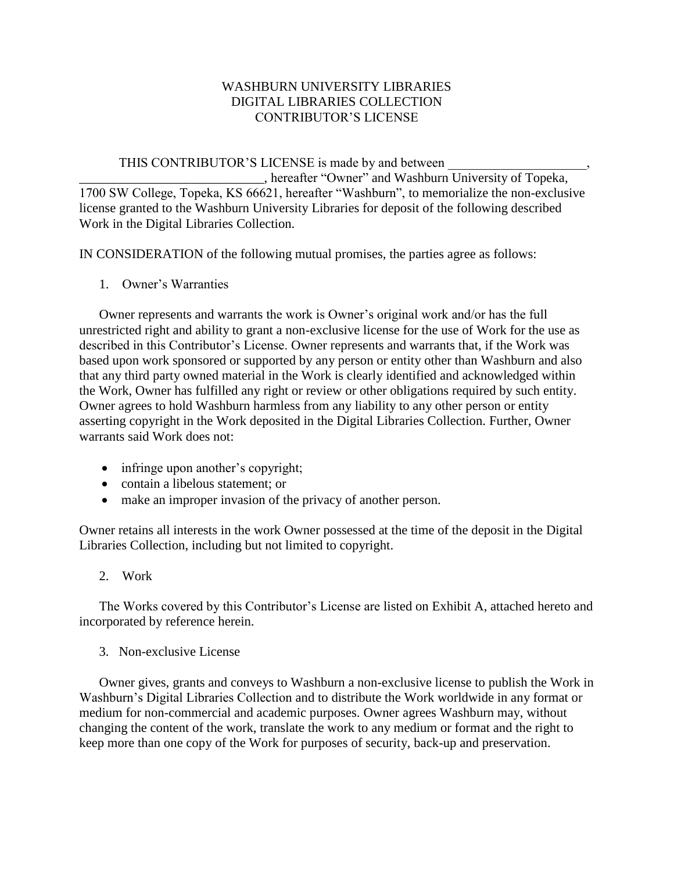## WASHBURN UNIVERSITY LIBRARIES DIGITAL LIBRARIES COLLECTION CONTRIBUTOR'S LICENSE

## THIS CONTRIBUTOR'S LICENSE is made by and between

\_\_\_\_\_\_\_\_\_\_\_\_\_\_\_\_\_\_\_\_\_\_\_\_\_\_\_\_, hereafter "Owner" and Washburn University of Topeka, 1700 SW College, Topeka, KS 66621, hereafter "Washburn", to memorialize the non-exclusive license granted to the Washburn University Libraries for deposit of the following described Work in the Digital Libraries Collection.

IN CONSIDERATION of the following mutual promises, the parties agree as follows:

1. Owner's Warranties

Owner represents and warrants the work is Owner's original work and/or has the full unrestricted right and ability to grant a non-exclusive license for the use of Work for the use as described in this Contributor's License. Owner represents and warrants that, if the Work was based upon work sponsored or supported by any person or entity other than Washburn and also that any third party owned material in the Work is clearly identified and acknowledged within the Work, Owner has fulfilled any right or review or other obligations required by such entity. Owner agrees to hold Washburn harmless from any liability to any other person or entity asserting copyright in the Work deposited in the Digital Libraries Collection. Further, Owner warrants said Work does not:

- infringe upon another's copyright;
- contain a libelous statement; or
- make an improper invasion of the privacy of another person.

Owner retains all interests in the work Owner possessed at the time of the deposit in the Digital Libraries Collection, including but not limited to copyright.

2. Work

The Works covered by this Contributor's License are listed on Exhibit A, attached hereto and incorporated by reference herein.

3. Non-exclusive License

Owner gives, grants and conveys to Washburn a non-exclusive license to publish the Work in Washburn's Digital Libraries Collection and to distribute the Work worldwide in any format or medium for non-commercial and academic purposes. Owner agrees Washburn may, without changing the content of the work, translate the work to any medium or format and the right to keep more than one copy of the Work for purposes of security, back-up and preservation.